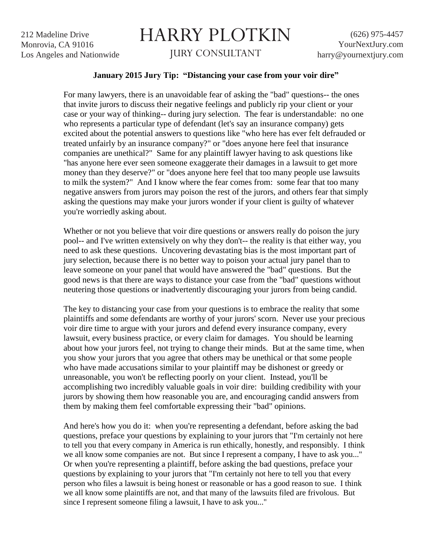212 Madeline Drive Monrovia, CA 91016 Los Angeles and Nationwide

## HARRY PLOTKIN

JURY CONSULTANT

(626) 975-4457 YourNextJury.com harry@yournextjury.com

## **January 2015 Jury Tip: "Distancing your case from your voir dire"**

For many lawyers, there is an unavoidable fear of asking the "bad" questions-- the ones that invite jurors to discuss their negative feelings and publicly rip your client or your case or your way of thinking-- during jury selection. The fear is understandable: no one who represents a particular type of defendant (let's say an insurance company) gets excited about the potential answers to questions like "who here has ever felt defrauded or treated unfairly by an insurance company?" or "does anyone here feel that insurance companies are unethical?" Same for any plaintiff lawyer having to ask questions like "has anyone here ever seen someone exaggerate their damages in a lawsuit to get more money than they deserve?" or "does anyone here feel that too many people use lawsuits to milk the system?" And I know where the fear comes from: some fear that too many negative answers from jurors may poison the rest of the jurors, and others fear that simply asking the questions may make your jurors wonder if your client is guilty of whatever you're worriedly asking about.

Whether or not you believe that voir dire questions or answers really do poison the jury pool-- and I've written extensively on why they don't-- the reality is that either way, you need to ask these questions. Uncovering devastating bias is the most important part of jury selection, because there is no better way to poison your actual jury panel than to leave someone on your panel that would have answered the "bad" questions. But the good news is that there are ways to distance your case from the "bad" questions without neutering those questions or inadvertently discouraging your jurors from being candid.

The key to distancing your case from your questions is to embrace the reality that some plaintiffs and some defendants are worthy of your jurors' scorn. Never use your precious voir dire time to argue with your jurors and defend every insurance company, every lawsuit, every business practice, or every claim for damages. You should be learning about how your jurors feel, not trying to change their minds. But at the same time, when you show your jurors that you agree that others may be unethical or that some people who have made accusations similar to your plaintiff may be dishonest or greedy or unreasonable, you won't be reflecting poorly on your client. Instead, you'll be accomplishing two incredibly valuable goals in voir dire: building credibility with your jurors by showing them how reasonable you are, and encouraging candid answers from them by making them feel comfortable expressing their "bad" opinions.

And here's how you do it: when you're representing a defendant, before asking the bad questions, preface your questions by explaining to your jurors that "I'm certainly not here to tell you that every company in America is run ethically, honestly, and responsibly. I think we all know some companies are not. But since I represent a company, I have to ask you..." Or when you're representing a plaintiff, before asking the bad questions, preface your questions by explaining to your jurors that "I'm certainly not here to tell you that every person who files a lawsuit is being honest or reasonable or has a good reason to sue. I think we all know some plaintiffs are not, and that many of the lawsuits filed are frivolous. But since I represent someone filing a lawsuit, I have to ask you..."